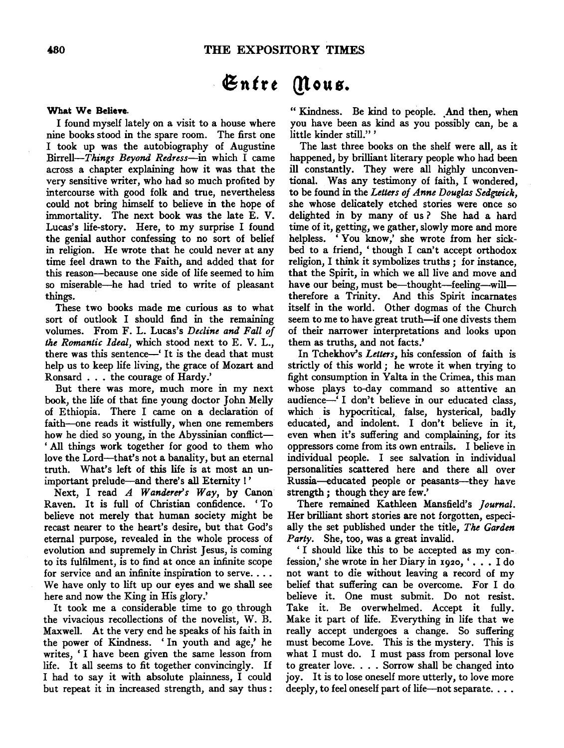# $\mathfrak{E}$ ntre *(Mous.*

#### What We Believe.

I found myself lately on a visit to a house where nine books stood in the spare room. The first one I took up was the autobiography of Augustine *Birrell-Things Beyond Redress-in* which I came across a chapter explaining how it was that the very sensitive writer, who had so much profited by intercourse with good folk and true, nevertheless could not bring himself to believe in the hope of immortality. The next book was the late E. V. Lucas's life-story. Here, to my surprise I found the genial author confessing to no sort of belief in religion. He wrote that he could never at any time feel drawn to the Faith, and added that for this reason-because one side of life seemed to him so miserable-he had tried to write of pleasant things. .

These two books made me curious as to what sort of outlook I should find in the remaining volumes. From F. L. Lucas's *Decline and Fall of the Romantic Ideal,* which stood next to E. V. L., there was this sentence-' It is the dead that must help us to keep life living, the grace of Mozart and Ronsard ... the courage of Hardy.'

But there was more, much more in my next book, the life of that fine young doctor John Melly of Ethiopia. There I came on a declaration of faith-one reads it wistfully, when one remembers how he died so young, in the Abyssinian conflict-' All things work together for good to them who love the Lord----that's not a banality, but an eternal truth. What's left of this life is at most an unimportant prelude-and there's all Eternity!'

Next, I read *A Wanderer's Way,* by Canon Raven. It is full of Christian confidence. ' To believe not merely that human society might be recast nearer to the heart's desire, but that God's eternal purpose, revealed in the whole process of evolution and supremely in Christ Jesus, is coming to its fulfilment, is to find at once an infinite scope for service and an infinite inspiration to serve. . .. We have only to lift up our eyes and we shall see here and now the King in His glory.'

It took me a considerable time to go through the vivacious recollections of the novelist, W. B. Maxwell. At the very end he speaks of his faith in the power of Kindness. ' In youth and age,' he writes, 'I have been given the same lesson from life. It all seems to fit together convincingly. If I had to say it with absolute plainness, I could but repeat it in increased strength, and say thus :

" Kindness. Be kind to people. And then, when you have been as kind as you possibly can, be a little kinder still."'

The last three books on the shelf were all, as it happened, by brilliant literary people who had been ill constantly. They were all highly unconventional. Was any testimony of faith, I wondered, to be found in the *Letters of Anne Douglas Sedgwick,*  she whose delicately etched stories were once so delighted in by many of us ? She had a hard time of it, getting, we gather, slowly more and more helpless. 'You know,' she wrote from her sickbed to a friend, 'though I can't accept orthodox religion, I think it symbolizes truths ; for instance, that the Spirit, in which we all live and move and have our being, must be--thought--feeling--willtherefore a Trinity. And this Spirit incarnates itself in the world. Other dogmas of the Church seem to me to have great truth-if one divests them of their narrower interpretations and looks upon them as truths, and not facts.'

In Tchekhov's *Letters,* his confession of faith is strictly of this world *;* he wrote it when trying to fight consumption in Yalta in the Crimea, this man whose plays to-day command so attentive an audience-' I don't believe in our educated class, which is hypocritical, false, hysterical, badly educated, and indolent. I don't believe in it, even when it's suffering and complaining, for its oppressors come from its own entrails. I believe in individual people. I see salvation in individual personalities scattered here and there all over Russia-educated people or peasants-they have strength *;* though they are few.'

There remained Kathleen Mansfield's *Journal.*  Her brilliant short stories are not forgotten, especially the set published under the title, *The Garden Party.* She, too, was a great invalid.

' I should like this to be accepted as my confession,' she wrote in her Diary in 1920, ' ••• I do not want to die without leaving a record of my belief that suffering can be overcome. For I do believe it. One must submit. Do not resist. Take it. Be overwhelmed. Accept it fully. Make it part of life. Everything in life that we really accept undergoes a change. So suffering must become Love. This is the mystery. This is what I must do. I must pass from personal love to greater love. . . . Sorrow shall be changed into joy. It is to lose oneself more utterly, to love more deeply, to feel oneself part of life-not separate. . . .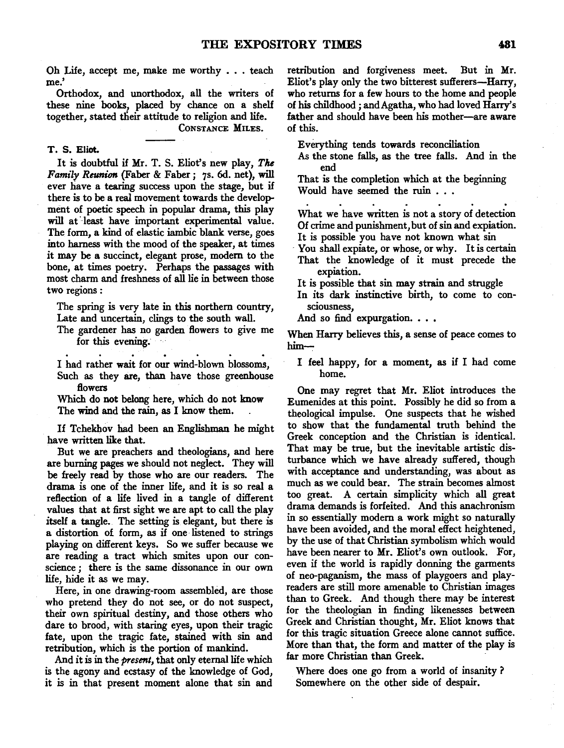Oh Life, accept me, make me worthy . . . teach me.'

Orthodox, and unorthodox, all the writers of these nine books, placed by chance on a shelf together, stated their attitude to religion and life.

CoNSTANCE MILES.

#### T. S. Eliot.

It is doubtful if Mr. T. S. Eliot's new play, *The Family Reunion* (Faber & Faber; 7s. 6d. net), will ever have a tearing success upon the stage, but if there is to be a real movement towards the development of poetic speech in popular drama, this play will at least have important experimental value. The form, a kind of elastic iambic blank verse, goes into harness with the mood of the speaker, at times it may be a succinct, elegant prose, modem to the bone, at times poetry. Perhaps the passages with most charm and freshness of all lie in between those two regions :

The spring is very late in this northern country, Late and uncertain, clings to the south wall.

The gardener has no garden flowers to give me for this evening.

for this evening.<br>I had rather wait for our wind-blown blossoms,

Such as they are, than have those greenhouse flowers

Which do not belong here, which do not know The wind and the rain, as I know them.

If Tchekhov had been an Englishman he might have written like that.

But we are preachers and theologians, and here are burning pages we should not neglect. They will be freely read by those who are our readers. The drama is one of the inner life, and it is so real a reflection of a life lived in a tangle of different values that at first sight we are apt to call the play itself a tangle. The setting is elegant, but there is a distortion of form, as if one listened to strings playing on different keys. So we suffer because we are reading a tract which smites upon our conscience *;* there is the same dissonance in our own life, hide it as we may.

Here, in one drawing-room assembled, are those who pretend they do not see, or do not suspect, their own spiritual destiny, and those others who dare to brood, with staring eyes, upon their tragic fate, upon the tragic fate, stained with sin and retribution, which is the portion of mankind.

And it is in the *present,* that only eternal life which is the agony and ecstasy of the knowledge of God, it is in that present moment alone that sin and

retribution and forgiveness meet. But in Mr. Eliot's play only the two bitterest sufferers-Harry, who returns for a few hours to the home and people of his childhood; andAgatha, who had loved Harry's father and should have been his mother-are aware of this.

Everything tends towards reconciliation

As the stone falls, as the tree falls. And in the end

That is the completion which at the beginning Would have seemed the ruin ...

What we have written is not a story of detection Of crime and punishment, but of sin and expiation.

It is possible you have not known what sin

You shall expiate, or whose, or why. It is certain That the knowledge of it must precede the expiation.

It is possible that sin may strain and struggle

In its dark instinctive birth, to come to consciousness,

And so find expurgation. . . .

When Harry believes this, a sense of peace comes to him-

! feel happy, for a moment, as if I had come home.

One may regret that Mr. Eliot introduces the Eumenides at this point. Possibly he did so from a theological impulse. One suspects that he wished to show that the fundamental truth behind the Greek conception and the Christian is identical. That may be true, but the inevitable artistic disturbance which we have already suffered, though with acceptance and understanding, was about as much as we could bear. The strain becomes almost too great. A certain simplicity which all great drama demands is forfeited. And this anachronism in so essentially modem a work might so naturally have been avoided, and the moral effect heightened, by the use of that Christian symbolism which would have been nearer to Mr. Eliot's own outlook. For, even if the world is rapidly donning the garments of neo-paganism, the mass of playgoers and playreaders are still more amenable to Christian images than to Greek. And though there may be interest for the theologian in finding likenesses between Greek and Christian thought, Mr. Eliot knows that for this tragic situation Greece alone cannot suffice. More than that, the form and matter of the play is far more Christian than Greek.

Where does one go from a world of insanity ? Somewhere on the other side of despair.